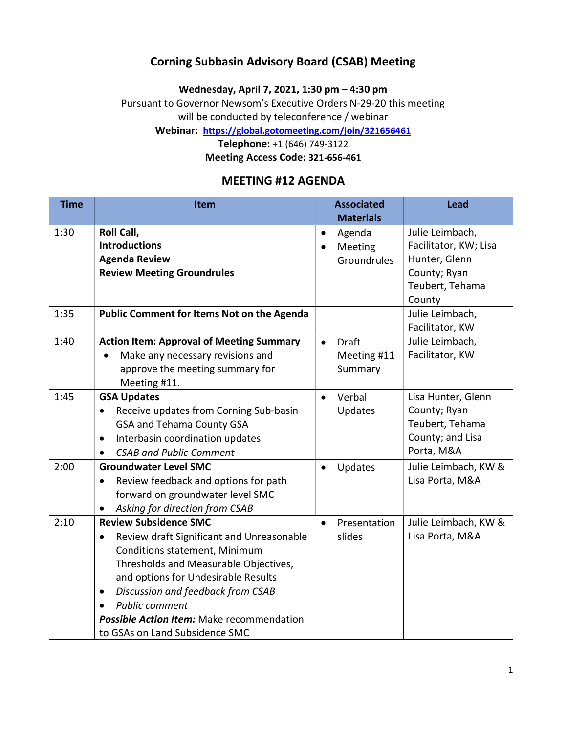## Corning Subbasin Advisory Board (CSAB) Meeting

Wednesday, April 7, 2021, 1:30 pm – 4:30 pm

Pursuant to Governor Newsom's Executive Orders N-29-20 this meeting will be conducted by teleconference / webinar

Webinar: https://global.gotomeeting.com/join/321656461

Telephone: +1 (646) 749-3122

Meeting Access Code: 321-656-461

### MEETING #12 AGENDA

| <b>Time</b> | Item                                                   | <b>Associated</b>         | <b>Lead</b>           |
|-------------|--------------------------------------------------------|---------------------------|-----------------------|
|             |                                                        | <b>Materials</b>          |                       |
| 1:30        | Roll Call,                                             | Agenda<br>$\bullet$       | Julie Leimbach,       |
|             | <b>Introductions</b>                                   | Meeting<br>$\bullet$      | Facilitator, KW; Lisa |
|             | <b>Agenda Review</b>                                   | Groundrules               | Hunter, Glenn         |
|             | <b>Review Meeting Groundrules</b>                      |                           | County; Ryan          |
|             |                                                        |                           | Teubert, Tehama       |
|             |                                                        |                           | County                |
| 1:35        | <b>Public Comment for Items Not on the Agenda</b>      |                           | Julie Leimbach,       |
|             |                                                        |                           | Facilitator, KW       |
| 1:40        | <b>Action Item: Approval of Meeting Summary</b>        | Draft<br>$\bullet$        | Julie Leimbach,       |
|             | Make any necessary revisions and                       | Meeting #11               | Facilitator, KW       |
|             | approve the meeting summary for                        | Summary                   |                       |
|             | Meeting #11.                                           |                           |                       |
| 1:45        | <b>GSA Updates</b>                                     | Verbal<br>$\bullet$       | Lisa Hunter, Glenn    |
|             | Receive updates from Corning Sub-basin<br>$\bullet$    | Updates                   | County; Ryan          |
|             | GSA and Tehama County GSA                              |                           | Teubert, Tehama       |
|             | Interbasin coordination updates<br>$\bullet$           |                           | County; and Lisa      |
|             | <b>CSAB and Public Comment</b><br>$\bullet$            |                           | Porta, M&A            |
| 2:00        | <b>Groundwater Level SMC</b>                           | Updates                   | Julie Leimbach, KW &  |
|             | Review feedback and options for path<br>$\bullet$      |                           | Lisa Porta, M&A       |
|             | forward on groundwater level SMC                       |                           |                       |
|             | Asking for direction from CSAB                         |                           |                       |
| 2:10        | <b>Review Subsidence SMC</b>                           | Presentation<br>$\bullet$ | Julie Leimbach, KW &  |
|             | Review draft Significant and Unreasonable<br>$\bullet$ | slides                    | Lisa Porta, M&A       |
|             | Conditions statement, Minimum                          |                           |                       |
|             | Thresholds and Measurable Objectives,                  |                           |                       |
|             | and options for Undesirable Results                    |                           |                       |
|             | Discussion and feedback from CSAB<br>$\bullet$         |                           |                       |
|             | <b>Public comment</b>                                  |                           |                       |
|             | <b>Possible Action Item:</b> Make recommendation       |                           |                       |
|             | to GSAs on Land Subsidence SMC                         |                           |                       |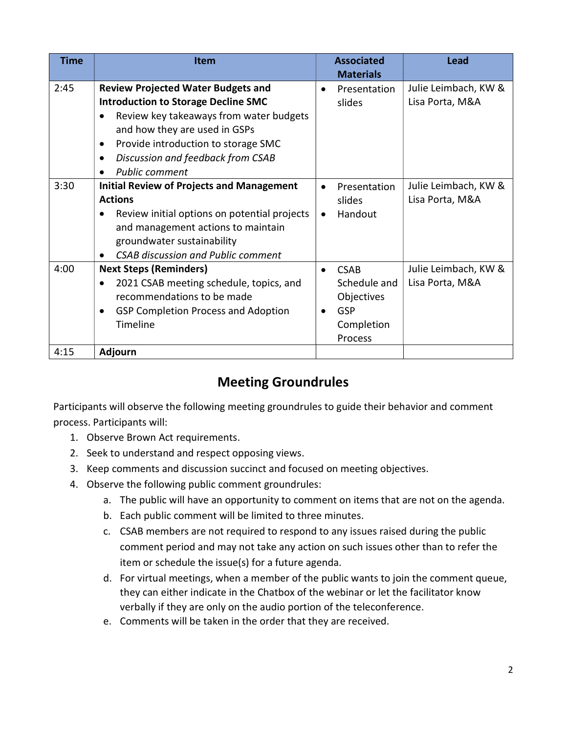| <b>Time</b> | <b>Item</b>                                                                                                                                                                                                                                                                                | <b>Associated</b><br><b>Materials</b>                                                                      | <b>Lead</b>                             |
|-------------|--------------------------------------------------------------------------------------------------------------------------------------------------------------------------------------------------------------------------------------------------------------------------------------------|------------------------------------------------------------------------------------------------------------|-----------------------------------------|
| 2:45        | <b>Review Projected Water Budgets and</b><br><b>Introduction to Storage Decline SMC</b><br>Review key takeaways from water budgets<br>and how they are used in GSPs<br>Provide introduction to storage SMC<br>٠<br>Discussion and feedback from CSAB<br>$\bullet$<br><b>Public comment</b> | Presentation<br>$\bullet$<br>slides                                                                        | Julie Leimbach, KW &<br>Lisa Porta, M&A |
| 3:30        | <b>Initial Review of Projects and Management</b><br><b>Actions</b><br>Review initial options on potential projects<br>and management actions to maintain<br>groundwater sustainability<br><b>CSAB discussion and Public comment</b>                                                        | Presentation<br>$\bullet$<br>slides<br>Handout<br>$\bullet$                                                | Julie Leimbach, KW &<br>Lisa Porta, M&A |
| 4:00        | <b>Next Steps (Reminders)</b><br>2021 CSAB meeting schedule, topics, and<br>$\bullet$<br>recommendations to be made<br><b>GSP Completion Process and Adoption</b><br>Timeline                                                                                                              | <b>CSAB</b><br>$\bullet$<br>Schedule and<br>Objectives<br><b>GSP</b><br>$\bullet$<br>Completion<br>Process | Julie Leimbach, KW &<br>Lisa Porta, M&A |
| 4:15        | Adjourn                                                                                                                                                                                                                                                                                    |                                                                                                            |                                         |

# Meeting Groundrules

Participants will observe the following meeting groundrules to guide their behavior and comment process. Participants will:

- 1. Observe Brown Act requirements.
- 2. Seek to understand and respect opposing views.
- 3. Keep comments and discussion succinct and focused on meeting objectives.
- 4. Observe the following public comment groundrules:
	- a. The public will have an opportunity to comment on items that are not on the agenda.
	- b. Each public comment will be limited to three minutes.
	- c. CSAB members are not required to respond to any issues raised during the public comment period and may not take any action on such issues other than to refer the item or schedule the issue(s) for a future agenda.
	- d. For virtual meetings, when a member of the public wants to join the comment queue, they can either indicate in the Chatbox of the webinar or let the facilitator know verbally if they are only on the audio portion of the teleconference.
	- e. Comments will be taken in the order that they are received.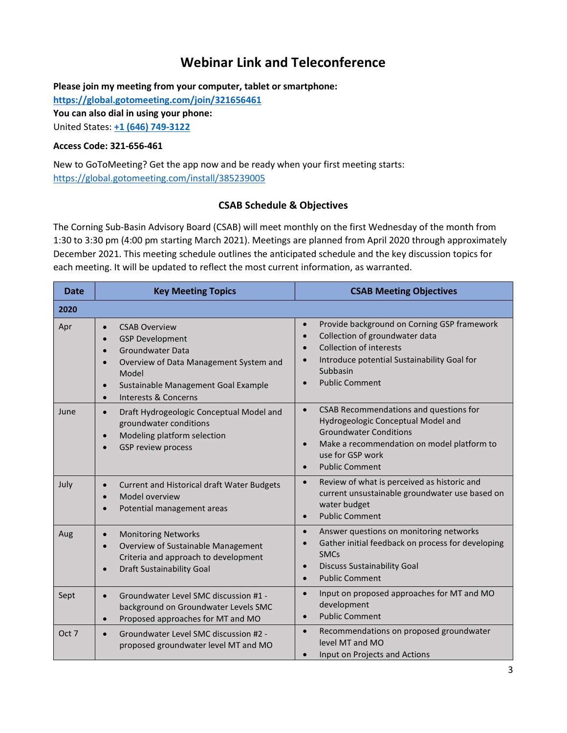## Webinar Link and Teleconference

Please join my meeting from your computer, tablet or smartphone:

https://global.gotomeeting.com/join/321656461

You can also dial in using your phone:

United States: +1 (646) 749-3122

#### Access Code: 321-656-461

New to GoToMeeting? Get the app now and be ready when your first meeting starts: https://global.gotomeeting.com/install/385239005

#### CSAB Schedule & Objectives

The Corning Sub-Basin Advisory Board (CSAB) will meet monthly on the first Wednesday of the month from 1:30 to 3:30 pm (4:00 pm starting March 2021). Meetings are planned from April 2020 through approximately December 2021. This meeting schedule outlines the anticipated schedule and the key discussion topics for each meeting. It will be updated to reflect the most current information, as warranted.

| <b>Date</b> | <b>Key Meeting Topics</b>                                                                                                                                                                                                                                                            | <b>CSAB Meeting Objectives</b>                                                                                                                                                                                        |  |
|-------------|--------------------------------------------------------------------------------------------------------------------------------------------------------------------------------------------------------------------------------------------------------------------------------------|-----------------------------------------------------------------------------------------------------------------------------------------------------------------------------------------------------------------------|--|
| 2020        |                                                                                                                                                                                                                                                                                      |                                                                                                                                                                                                                       |  |
| Apr         | <b>CSAB Overview</b><br>$\bullet$<br><b>GSP Development</b><br>$\bullet$<br><b>Groundwater Data</b><br>$\bullet$<br>Overview of Data Management System and<br>$\bullet$<br>Model<br>Sustainable Management Goal Example<br>$\bullet$<br><b>Interests &amp; Concerns</b><br>$\bullet$ | Provide background on Corning GSP framework<br>$\bullet$<br>Collection of groundwater data<br><b>Collection of interests</b><br>Introduce potential Sustainability Goal for<br>Subbasin<br><b>Public Comment</b>      |  |
| June        | Draft Hydrogeologic Conceptual Model and<br>$\bullet$<br>groundwater conditions<br>Modeling platform selection<br>$\bullet$<br><b>GSP review process</b><br>$\bullet$                                                                                                                | CSAB Recommendations and questions for<br>Hydrogeologic Conceptual Model and<br><b>Groundwater Conditions</b><br>Make a recommendation on model platform to<br>use for GSP work<br><b>Public Comment</b><br>$\bullet$ |  |
| July        | Current and Historical draft Water Budgets<br>$\bullet$<br>Model overview<br>$\bullet$<br>Potential management areas                                                                                                                                                                 | Review of what is perceived as historic and<br>$\bullet$<br>current unsustainable groundwater use based on<br>water budget<br><b>Public Comment</b><br>$\bullet$                                                      |  |
| Aug         | <b>Monitoring Networks</b><br>$\bullet$<br>Overview of Sustainable Management<br>$\bullet$<br>Criteria and approach to development<br><b>Draft Sustainability Goal</b><br>$\bullet$                                                                                                  | Answer questions on monitoring networks<br>$\bullet$<br>Gather initial feedback on process for developing<br><b>SMCs</b><br><b>Discuss Sustainability Goal</b><br><b>Public Comment</b><br>$\bullet$                  |  |
| Sept        | Groundwater Level SMC discussion #1 -<br>$\bullet$<br>background on Groundwater Levels SMC<br>Proposed approaches for MT and MO<br>$\bullet$                                                                                                                                         | Input on proposed approaches for MT and MO<br>$\bullet$<br>development<br><b>Public Comment</b>                                                                                                                       |  |
| Oct 7       | Groundwater Level SMC discussion #2 -<br>$\bullet$<br>proposed groundwater level MT and MO                                                                                                                                                                                           | Recommendations on proposed groundwater<br>$\bullet$<br>level MT and MO<br>Input on Projects and Actions<br>$\bullet$                                                                                                 |  |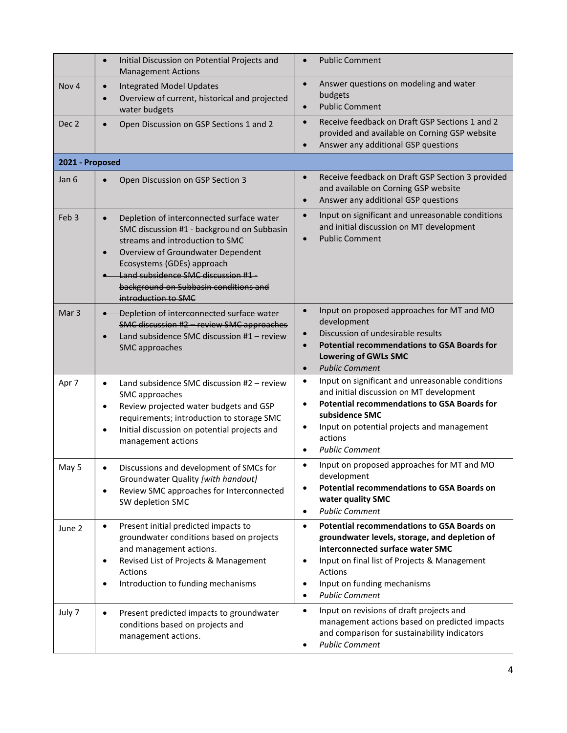|                  | Initial Discussion on Potential Projects and<br>$\bullet$<br><b>Management Actions</b>                                                                                                                                                                                                                                        | <b>Public Comment</b><br>$\bullet$                                                                                                                                                                                                                                                                            |
|------------------|-------------------------------------------------------------------------------------------------------------------------------------------------------------------------------------------------------------------------------------------------------------------------------------------------------------------------------|---------------------------------------------------------------------------------------------------------------------------------------------------------------------------------------------------------------------------------------------------------------------------------------------------------------|
| Nov <sub>4</sub> | <b>Integrated Model Updates</b><br>$\bullet$<br>Overview of current, historical and projected<br>$\epsilon$<br>water budgets                                                                                                                                                                                                  | Answer questions on modeling and water<br>$\bullet$<br>budgets<br><b>Public Comment</b><br>$\bullet$                                                                                                                                                                                                          |
| Dec <sub>2</sub> | Open Discussion on GSP Sections 1 and 2<br>$\bullet$                                                                                                                                                                                                                                                                          | Receive feedback on Draft GSP Sections 1 and 2<br>$\bullet$<br>provided and available on Corning GSP website<br>Answer any additional GSP questions<br>$\bullet$                                                                                                                                              |
| 2021 - Proposed  |                                                                                                                                                                                                                                                                                                                               |                                                                                                                                                                                                                                                                                                               |
| Jan 6            | Open Discussion on GSP Section 3<br>$\bullet$                                                                                                                                                                                                                                                                                 | Receive feedback on Draft GSP Section 3 provided<br>$\bullet$<br>and available on Corning GSP website<br>Answer any additional GSP questions<br>$\bullet$                                                                                                                                                     |
| Feb <sub>3</sub> | Depletion of interconnected surface water<br>$\bullet$<br>SMC discussion #1 - background on Subbasin<br>streams and introduction to SMC<br>Overview of Groundwater Dependent<br>$\bullet$<br>Ecosystems (GDEs) approach<br>Land subsidence SMC discussion #1-<br>background on Subbasin conditions and<br>introduction to SMC | Input on significant and unreasonable conditions<br>$\bullet$<br>and initial discussion on MT development<br><b>Public Comment</b><br>$\bullet$                                                                                                                                                               |
| Mar <sub>3</sub> | Depletion of interconnected surface water<br>SMC discussion #2 - review SMC approaches<br>Land subsidence SMC discussion #1 - review<br>$\bullet$<br>SMC approaches                                                                                                                                                           | Input on proposed approaches for MT and MO<br>$\bullet$<br>development<br>Discussion of undesirable results<br>$\bullet$<br><b>Potential recommendations to GSA Boards for</b><br>$\bullet$<br><b>Lowering of GWLs SMC</b><br><b>Public Comment</b><br>$\bullet$                                              |
| Apr 7            | Land subsidence SMC discussion #2 - review<br>$\bullet$<br>SMC approaches<br>Review projected water budgets and GSP<br>$\bullet$<br>requirements; introduction to storage SMC<br>Initial discussion on potential projects and<br>$\bullet$<br>management actions                                                              | Input on significant and unreasonable conditions<br>$\bullet$<br>and initial discussion on MT development<br><b>Potential recommendations to GSA Boards for</b><br>$\bullet$<br>subsidence SMC<br>Input on potential projects and management<br>$\bullet$<br>actions<br><b>Public Comment</b><br>$\bullet$    |
| May 5            | Discussions and development of SMCs for<br>Groundwater Quality [with handout]<br>Review SMC approaches for Interconnected<br>$\bullet$<br>SW depletion SMC                                                                                                                                                                    | Input on proposed approaches for MT and MO<br>$\bullet$<br>development<br><b>Potential recommendations to GSA Boards on</b><br>$\bullet$<br>water quality SMC<br><b>Public Comment</b><br>$\bullet$                                                                                                           |
| June 2           | Present initial predicted impacts to<br>$\bullet$<br>groundwater conditions based on projects<br>and management actions.<br>Revised List of Projects & Management<br>$\bullet$<br>Actions<br>Introduction to funding mechanisms<br>$\bullet$                                                                                  | <b>Potential recommendations to GSA Boards on</b><br>$\bullet$<br>groundwater levels, storage, and depletion of<br>interconnected surface water SMC<br>Input on final list of Projects & Management<br>$\bullet$<br>Actions<br>Input on funding mechanisms<br>$\bullet$<br><b>Public Comment</b><br>$\bullet$ |
| July 7           | Present predicted impacts to groundwater<br>٠<br>conditions based on projects and<br>management actions.                                                                                                                                                                                                                      | Input on revisions of draft projects and<br>$\bullet$<br>management actions based on predicted impacts<br>and comparison for sustainability indicators<br><b>Public Comment</b><br>$\bullet$                                                                                                                  |